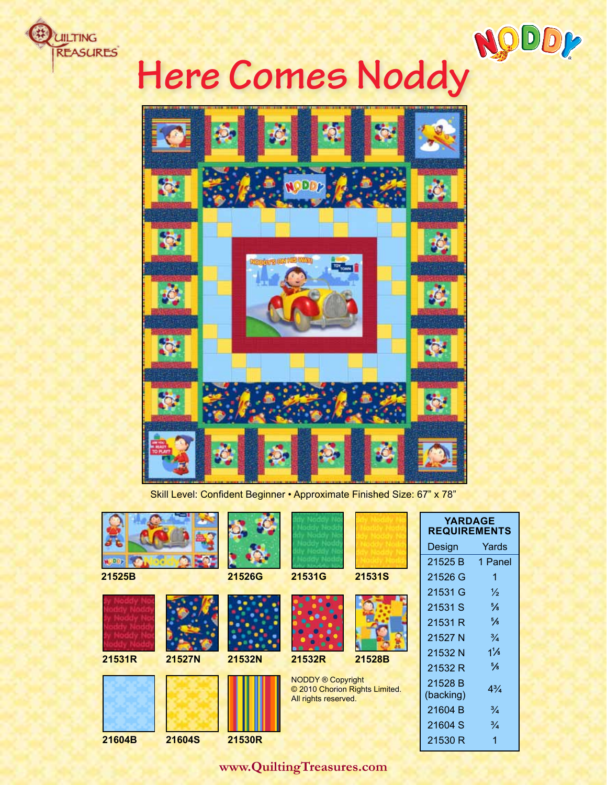

# **Here Comes Noddy**



Skill Level: Confident Beginner • Approximate Finished Size: 67" x 78"

|        |               |        |                                                                                    |               | <b>YARDAGE</b><br><b>REQUIREMENTS</b> |                |
|--------|---------------|--------|------------------------------------------------------------------------------------|---------------|---------------------------------------|----------------|
|        |               |        |                                                                                    |               | Design                                | Yards          |
|        |               |        |                                                                                    |               | 21525 B                               | 1 Panel        |
| 21525B |               | 21526G | 21531G                                                                             | <b>21531S</b> | 21526 G                               | 1              |
|        |               |        |                                                                                    |               | 21531 G                               | $\frac{1}{2}$  |
|        |               |        |                                                                                    |               | 21531 S                               | $\frac{5}{8}$  |
|        |               |        |                                                                                    |               | 21531 R                               | $\frac{5}{8}$  |
|        |               |        |                                                                                    |               | 21527 N                               | $\frac{3}{4}$  |
| 21531R | 21527N        | 21532N | 21532R                                                                             | 21528B        | 21532 N                               | $1\frac{1}{8}$ |
|        |               |        |                                                                                    |               | 21532 R                               | $\frac{5}{8}$  |
|        |               |        | <b>NODDY ® Copyright</b><br>© 2010 Chorion Rights Limited.<br>All rights reserved. |               | 21528 B<br>(backing)                  | $4\frac{3}{4}$ |
|        |               |        |                                                                                    |               | 21604 B                               | $\frac{3}{4}$  |
|        |               |        |                                                                                    |               | 21604 S                               | $\frac{3}{4}$  |
| 21604B | <b>21604S</b> | 21530R |                                                                                    |               | 21530 R                               | 1              |

**www.QuiltingTreasures.com**